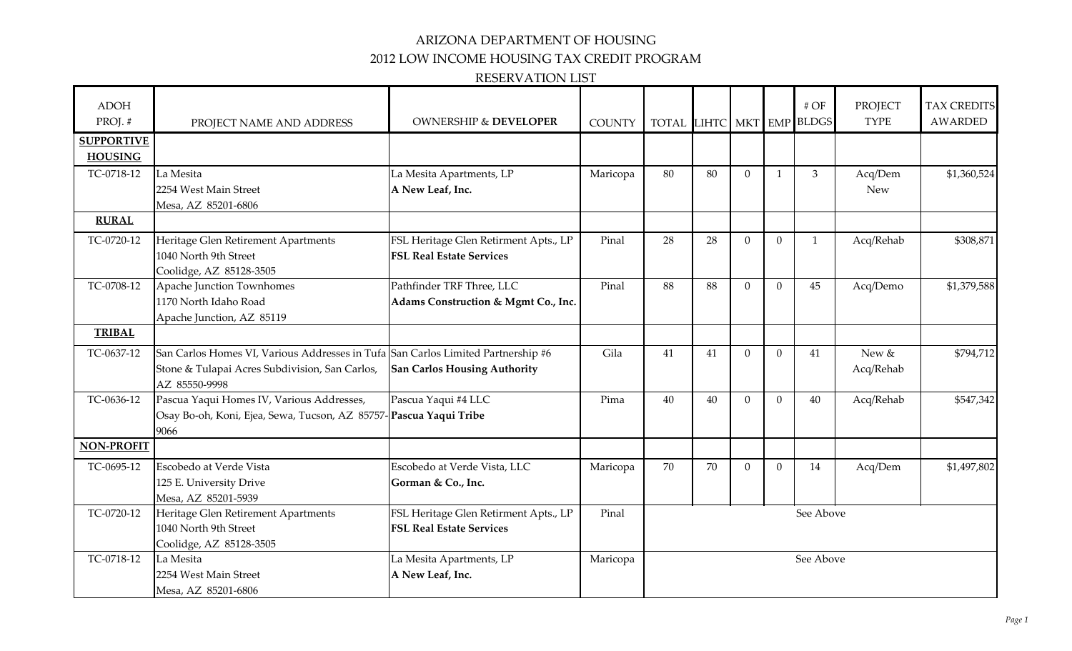## ARIZONA DEPARTMENT OF HOUSING

2012 LOW INCOME HOUSING TAX CREDIT PROGRAM

#### RESERVATION LIST

| <b>ADOH</b><br>PROJ.# | PROJECT NAME AND ADDRESS                                                         | <b>OWNERSHIP &amp; DEVELOPER</b>      | <b>COUNTY</b> | TOTAL LIHTC MKT EMP BLDGS |    |              |                | $\#$ OF        | <b>PROJECT</b><br><b>TYPE</b> | <b>TAX CREDITS</b><br>AWARDED |
|-----------------------|----------------------------------------------------------------------------------|---------------------------------------|---------------|---------------------------|----|--------------|----------------|----------------|-------------------------------|-------------------------------|
| <b>SUPPORTIVE</b>     |                                                                                  |                                       |               |                           |    |              |                |                |                               |                               |
| <b>HOUSING</b>        |                                                                                  |                                       |               |                           |    |              |                |                |                               |                               |
| TC-0718-12            | La Mesita                                                                        | La Mesita Apartments, LP              | Maricopa      | 80                        | 80 | $\mathbf{0}$ | $\mathbf{1}$   | $\mathfrak{Z}$ | Acq/Dem                       | \$1,360,524                   |
|                       | 2254 West Main Street                                                            | A New Leaf, Inc.                      |               |                           |    |              |                |                | <b>New</b>                    |                               |
|                       | Mesa, AZ 85201-6806                                                              |                                       |               |                           |    |              |                |                |                               |                               |
| <b>RURAL</b>          |                                                                                  |                                       |               |                           |    |              |                |                |                               |                               |
| TC-0720-12            | Heritage Glen Retirement Apartments                                              | FSL Heritage Glen Retirment Apts., LP | Pinal         | 28                        | 28 | $\Omega$     | $\Omega$       | $\mathbf{1}$   | Acq/Rehab                     | \$308,871                     |
|                       | 1040 North 9th Street                                                            | <b>FSL Real Estate Services</b>       |               |                           |    |              |                |                |                               |                               |
|                       | Coolidge, AZ 85128-3505                                                          |                                       |               |                           |    |              |                |                |                               |                               |
| TC-0708-12            | Apache Junction Townhomes                                                        | Pathfinder TRF Three, LLC             | Pinal         | 88                        | 88 | $\mathbf{0}$ | $\mathbf{0}$   | 45             | Acq/Demo                      | \$1,379,588                   |
|                       | 1170 North Idaho Road                                                            | Adams Construction & Mgmt Co., Inc.   |               |                           |    |              |                |                |                               |                               |
|                       | Apache Junction, AZ 85119                                                        |                                       |               |                           |    |              |                |                |                               |                               |
| <b>TRIBAL</b>         |                                                                                  |                                       |               |                           |    |              |                |                |                               |                               |
| TC-0637-12            | San Carlos Homes VI, Various Addresses in Tufa San Carlos Limited Partnership #6 |                                       | Gila          | 41                        | 41 | $\Omega$     | $\Omega$       | 41             | New &                         | \$794,712                     |
|                       | Stone & Tulapai Acres Subdivision, San Carlos,                                   | <b>San Carlos Housing Authority</b>   |               |                           |    |              |                |                | Acq/Rehab                     |                               |
|                       | AZ 85550-9998                                                                    |                                       |               |                           |    |              |                |                |                               |                               |
| TC-0636-12            | Pascua Yaqui Homes IV, Various Addresses,                                        | Pascua Yaqui #4 LLC                   | Pima          | 40                        | 40 | $\Omega$     | $\overline{0}$ | 40             | Acq/Rehab                     | \$547,342                     |
|                       | Osay Bo-oh, Koni, Ejea, Sewa, Tucson, AZ 85757-Pascua Yaqui Tribe                |                                       |               |                           |    |              |                |                |                               |                               |
|                       | 9066                                                                             |                                       |               |                           |    |              |                |                |                               |                               |
| <b>NON-PROFIT</b>     |                                                                                  |                                       |               |                           |    |              |                |                |                               |                               |
| TC-0695-12            | Escobedo at Verde Vista                                                          | Escobedo at Verde Vista, LLC          | Maricopa      | 70                        | 70 | $\Omega$     | $\overline{0}$ | 14             | Acq/Dem                       | \$1,497,802                   |
|                       | 125 E. University Drive                                                          | Gorman & Co., Inc.                    |               |                           |    |              |                |                |                               |                               |
|                       | Mesa, AZ 85201-5939                                                              |                                       |               |                           |    |              |                |                |                               |                               |
| TC-0720-12            | Heritage Glen Retirement Apartments                                              | FSL Heritage Glen Retirment Apts., LP | Pinal         | See Above                 |    |              |                |                |                               |                               |
|                       | 1040 North 9th Street                                                            | <b>FSL Real Estate Services</b>       |               |                           |    |              |                |                |                               |                               |
|                       | Coolidge, AZ 85128-3505                                                          |                                       |               |                           |    |              |                |                |                               |                               |
| TC-0718-12            | La Mesita                                                                        | La Mesita Apartments, LP              | Maricopa      | See Above                 |    |              |                |                |                               |                               |
|                       | 2254 West Main Street                                                            | A New Leaf, Inc.                      |               |                           |    |              |                |                |                               |                               |
|                       | Mesa, AZ 85201-6806                                                              |                                       |               |                           |    |              |                |                |                               |                               |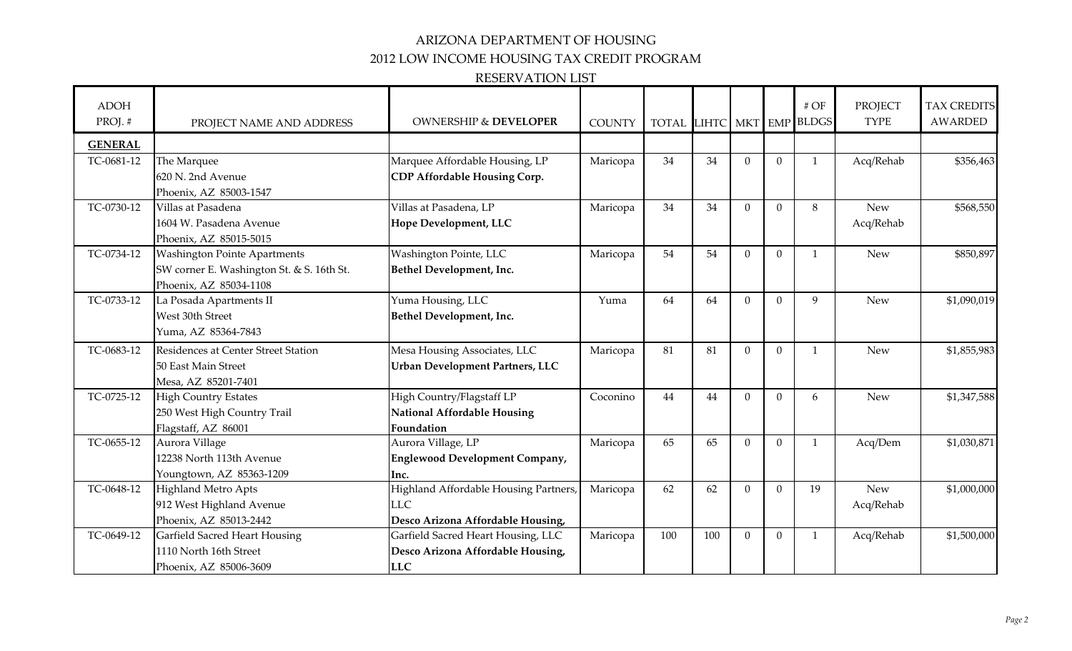## ARIZONA DEPARTMENT OF HOUSING

2012 LOW INCOME HOUSING TAX CREDIT PROGRAM

#### RESERVATION LIST

| <b>ADOH</b><br>PROJ.# | PROJECT NAME AND ADDRESS                  | <b>OWNERSHIP &amp; DEVELOPER</b>       | <b>COUNTY</b> | TOTAL LIHTC MKT EMP BLDGS |     |              |                | $\#$ OF      | <b>PROJECT</b><br><b>TYPE</b> | <b>TAX CREDITS</b><br><b>AWARDED</b> |
|-----------------------|-------------------------------------------|----------------------------------------|---------------|---------------------------|-----|--------------|----------------|--------------|-------------------------------|--------------------------------------|
| <b>GENERAL</b>        |                                           |                                        |               |                           |     |              |                |              |                               |                                      |
| TC-0681-12            | The Marquee                               | Marquee Affordable Housing, LP         | Maricopa      | 34                        | 34  | $\mathbf{0}$ | $\overline{0}$ | $\mathbf{1}$ | Acq/Rehab                     | \$356,463                            |
|                       | 620 N. 2nd Avenue                         | CDP Affordable Housing Corp.           |               |                           |     |              |                |              |                               |                                      |
|                       | Phoenix, AZ 85003-1547                    |                                        |               |                           |     |              |                |              |                               |                                      |
| TC-0730-12            | Villas at Pasadena                        | Villas at Pasadena, LP                 | Maricopa      | 34                        | 34  | $\Omega$     | $\mathbf{0}$   | 8            | <b>New</b>                    | \$568,550                            |
|                       | 1604 W. Pasadena Avenue                   | Hope Development, LLC                  |               |                           |     |              |                |              | Acq/Rehab                     |                                      |
|                       | Phoenix, AZ 85015-5015                    |                                        |               |                           |     |              |                |              |                               |                                      |
| TC-0734-12            | <b>Washington Pointe Apartments</b>       | Washington Pointe, LLC                 | Maricopa      | 54                        | 54  | $\mathbf{0}$ | $\overline{0}$ | $\mathbf{1}$ | <b>New</b>                    | \$850,897                            |
|                       | SW corner E. Washington St. & S. 16th St. | Bethel Development, Inc.               |               |                           |     |              |                |              |                               |                                      |
|                       | Phoenix, AZ 85034-1108                    |                                        |               |                           |     |              |                |              |                               |                                      |
| TC-0733-12            | La Posada Apartments II                   | Yuma Housing, LLC                      | Yuma          | 64                        | 64  | $\mathbf{0}$ | $\mathbf{0}$   | 9            | <b>New</b>                    | \$1,090,019                          |
|                       | West 30th Street                          | Bethel Development, Inc.               |               |                           |     |              |                |              |                               |                                      |
|                       | Yuma, AZ 85364-7843                       |                                        |               |                           |     |              |                |              |                               |                                      |
| TC-0683-12            | Residences at Center Street Station       | Mesa Housing Associates, LLC           | Maricopa      | 81                        | 81  | $\mathbf{0}$ | $\Omega$       | $\mathbf{1}$ | <b>New</b>                    | \$1,855,983                          |
|                       | 50 East Main Street                       | <b>Urban Development Partners, LLC</b> |               |                           |     |              |                |              |                               |                                      |
|                       | Mesa, AZ 85201-7401                       |                                        |               |                           |     |              |                |              |                               |                                      |
| TC-0725-12            | <b>High Country Estates</b>               | High Country/Flagstaff LP              | Coconino      | 44                        | 44  | $\Omega$     | $\Omega$       | 6            | <b>New</b>                    | \$1,347,588                          |
|                       | 250 West High Country Trail               | <b>National Affordable Housing</b>     |               |                           |     |              |                |              |                               |                                      |
|                       | Flagstaff, AZ 86001                       | Foundation                             |               |                           |     |              |                |              |                               |                                      |
| TC-0655-12            | Aurora Village                            | Aurora Village, LP                     | Maricopa      | 65                        | 65  | $\Omega$     | $\Omega$       | $\mathbf{1}$ | Acq/Dem                       | \$1,030,871                          |
|                       | 12238 North 113th Avenue                  | Englewood Development Company,         |               |                           |     |              |                |              |                               |                                      |
|                       | Youngtown, AZ 85363-1209                  | Inc.                                   |               |                           |     |              |                |              |                               |                                      |
| TC-0648-12            | <b>Highland Metro Apts</b>                | Highland Affordable Housing Partners,  | Maricopa      | 62                        | 62  | $\Omega$     | $\Omega$       | 19           | <b>New</b>                    | \$1,000,000                          |
|                       | 912 West Highland Avenue                  | <b>LLC</b>                             |               |                           |     |              |                |              | Acq/Rehab                     |                                      |
|                       | Phoenix, AZ 85013-2442                    | Desco Arizona Affordable Housing,      |               |                           |     |              |                |              |                               |                                      |
| TC-0649-12            | <b>Garfield Sacred Heart Housing</b>      | Garfield Sacred Heart Housing, LLC     | Maricopa      | 100                       | 100 | $\mathbf{0}$ | $\mathbf{0}$   | 1            | Acq/Rehab                     | \$1,500,000                          |
|                       | 1110 North 16th Street                    | Desco Arizona Affordable Housing,      |               |                           |     |              |                |              |                               |                                      |
|                       | Phoenix, AZ 85006-3609                    | <b>LLC</b>                             |               |                           |     |              |                |              |                               |                                      |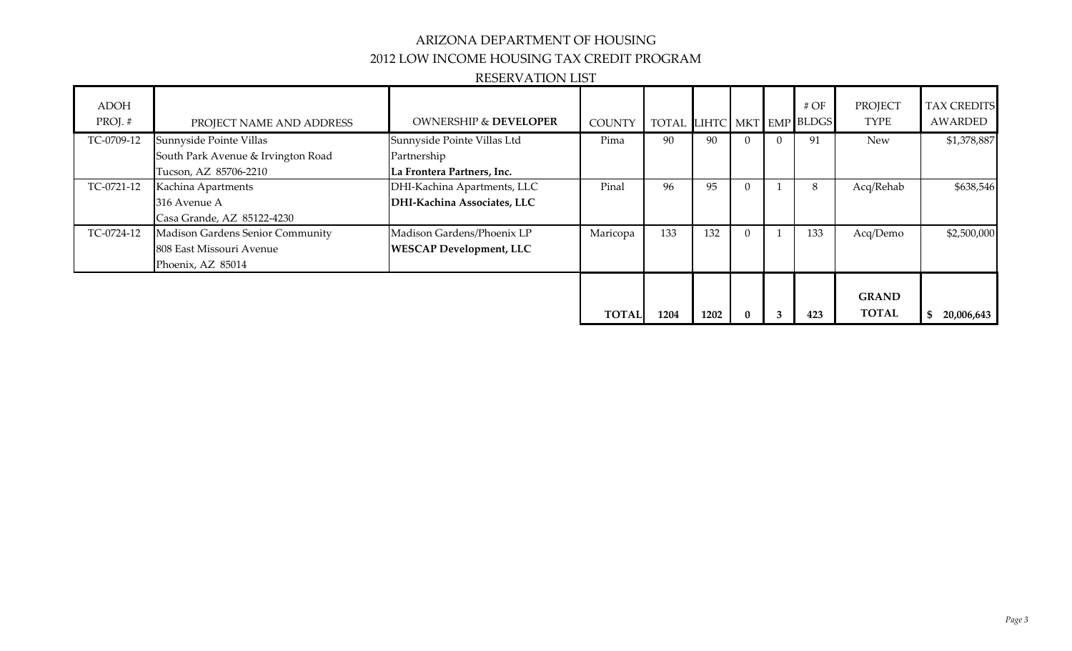# ARIZONA DEPARTMENT OF HOUSING 2012 LOW INCOME HOUSING TAX CREDIT PROGRAM

#### RESERVATION LIST

| ADOH<br>PROJ.# | PROJECT NAME AND ADDRESS           | <b>OWNERSHIP &amp; DEVELOPER</b> | <b>COUNTY</b> | <b>TOTAL</b> |      |                  |          | # $OF$<br>LIHTC MKT EMP BLDGS | <b>PROJECT</b><br>TYPE       | <b>TAX CREDITS</b><br>AWARDED |
|----------------|------------------------------------|----------------------------------|---------------|--------------|------|------------------|----------|-------------------------------|------------------------------|-------------------------------|
| TC-0709-12     | Sunnyside Pointe Villas            | Sunnyside Pointe Villas Ltd      | Pima          | 90           | 90   |                  | $\Omega$ | 91                            | <b>New</b>                   | \$1,378,887                   |
|                | South Park Avenue & Irvington Road | Partnership                      |               |              |      |                  |          |                               |                              |                               |
|                | Tucson, AZ 85706-2210              | La Frontera Partners, Inc.       |               |              |      |                  |          |                               |                              |                               |
| TC-0721-12     | Kachina Apartments                 | DHI-Kachina Apartments, LLC      | Pinal         | 96           | 95   | $\left( \right)$ |          | 8                             | Acq/Rehab                    | \$638,546                     |
|                | 316 Avenue A                       | DHI-Kachina Associates, LLC      |               |              |      |                  |          |                               |                              |                               |
|                | Casa Grande, AZ 85122-4230         |                                  |               |              |      |                  |          |                               |                              |                               |
| TC-0724-12     | Madison Gardens Senior Community   | Madison Gardens/Phoenix LP       | Maricopa      | 133          | 132  |                  |          | 133                           | Acq/Demo                     | \$2,500,000                   |
|                | 808 East Missouri Avenue           | <b>WESCAP Development, LLC</b>   |               |              |      |                  |          |                               |                              |                               |
|                | Phoenix, AZ 85014                  |                                  |               |              |      |                  |          |                               |                              |                               |
|                |                                    |                                  | <b>TOTAL</b>  | 1204         | 1202 |                  | 3        | 423                           | <b>GRAND</b><br><b>TOTAL</b> | \$<br>20,006,643              |